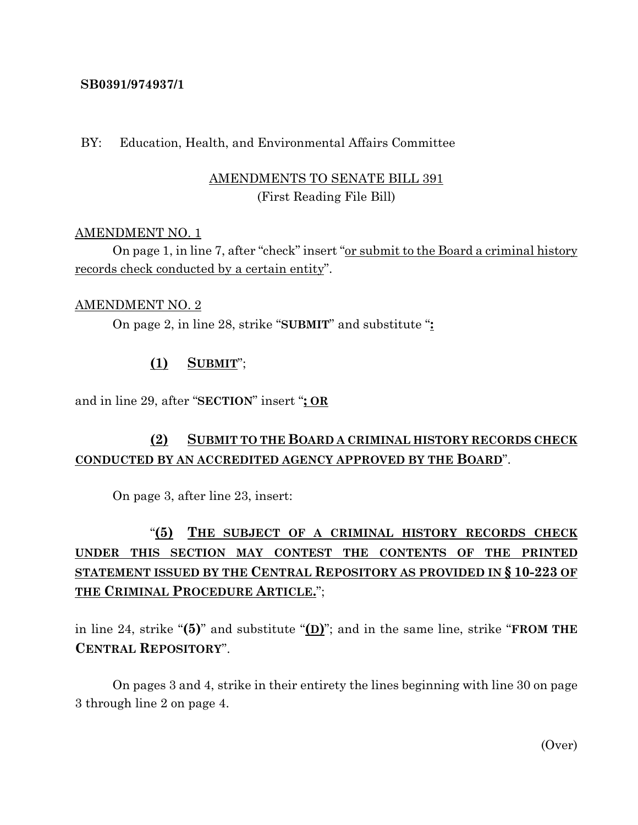## **SB0391/974937/1**

### BY: Education, Health, and Environmental Affairs Committee

# AMENDMENTS TO SENATE BILL 391 (First Reading File Bill)

## AMENDMENT NO. 1

On page 1, in line 7, after "check" insert "or submit to the Board a criminal history records check conducted by a certain entity".

#### AMENDMENT NO. 2

On page 2, in line 28, strike "**SUBMIT**" and substitute "**:**

# **(1) SUBMIT**";

and in line 29, after "**SECTION**" insert "**; OR**

# **(2) SUBMIT TO THE BOARD A CRIMINAL HISTORY RECORDS CHECK CONDUCTED BY AN ACCREDITED AGENCY APPROVED BY THE BOARD**".

On page 3, after line 23, insert:

# "**(5) THE SUBJECT OF A CRIMINAL HISTORY RECORDS CHECK UNDER THIS SECTION MAY CONTEST THE CONTENTS OF THE PRINTED STATEMENT ISSUED BY THE CENTRAL REPOSITORY AS PROVIDED IN § 10-223 OF THE CRIMINAL PROCEDURE ARTICLE.**";

in line 24, strike "**(5)**" and substitute "**(D)**"; and in the same line, strike "**FROM THE CENTRAL REPOSITORY**".

On pages 3 and 4, strike in their entirety the lines beginning with line 30 on page 3 through line 2 on page 4.

(Over)